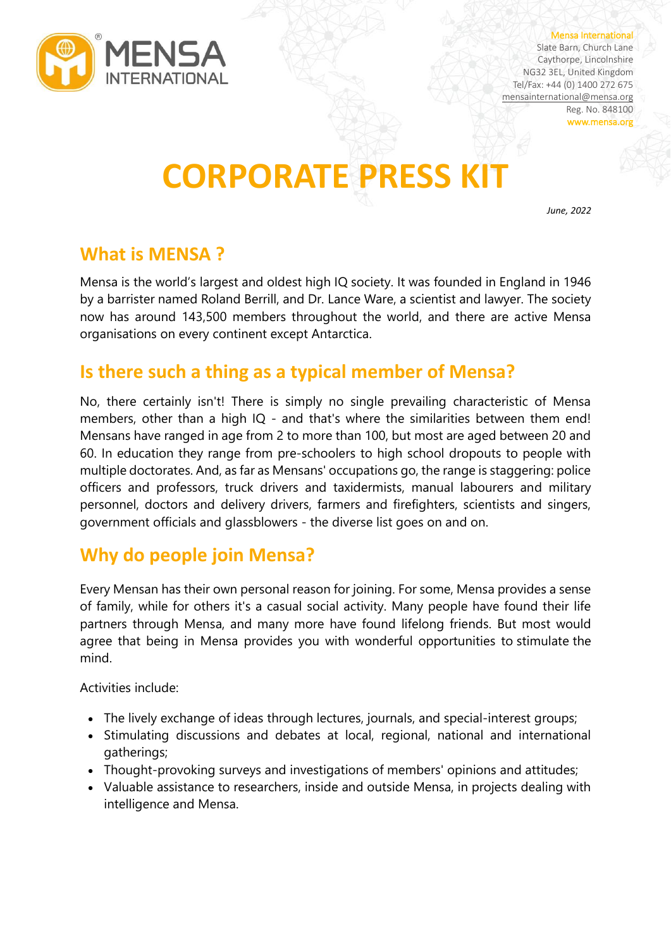

#### Mensa International

Slate Barn, Church Lane Caythorpe, Lincolnshire NG32 3EL, United Kingdom Tel/Fax: +44 (0) 1400 272 675 [mensainternational@mensa.org](about:blank) Reg. No. 848100 www.mensa.org

# **CORPORATE PRESS KIT**

*June, 2022*

### **What is MENSA ?**

Mensa is the world's largest and oldest high IQ society. It was founded in England in 1946 by a barrister named Roland Berrill, and Dr. Lance Ware, a scientist and lawyer. The society now has around 143,500 members throughout the world, and there are active Mensa organisations on every continent except Antarctica.

### **Is there such a thing as a typical member of Mensa?**

No, there certainly isn't! There is simply no single prevailing characteristic of Mensa members, other than a high IQ - and that's where the similarities between them end! Mensans have ranged in age from 2 to more than 100, but most are aged between 20 and 60. In education they range from pre-schoolers to high school dropouts to people with multiple doctorates. And, as far as Mensans' occupations go, the range is staggering: police officers and professors, truck drivers and taxidermists, manual labourers and military personnel, doctors and delivery drivers, farmers and firefighters, scientists and singers, government officials and glassblowers - the diverse list goes on and on.

### **Why do people join Mensa?**

Every Mensan has their own personal reason for joining. For some, Mensa provides a sense of family, while for others it's a casual social activity. Many people have found their life partners through Mensa, and many more have found lifelong friends. But most would agree that being in Mensa provides you with wonderful opportunities to stimulate the mind.

Activities include:

- The lively exchange of ideas through lectures, journals, and special-interest groups;
- Stimulating discussions and debates at local, regional, national and international gatherings;
- Thought-provoking surveys and investigations of members' opinions and attitudes;
- Valuable assistance to researchers, inside and outside Mensa, in projects dealing with intelligence and Mensa.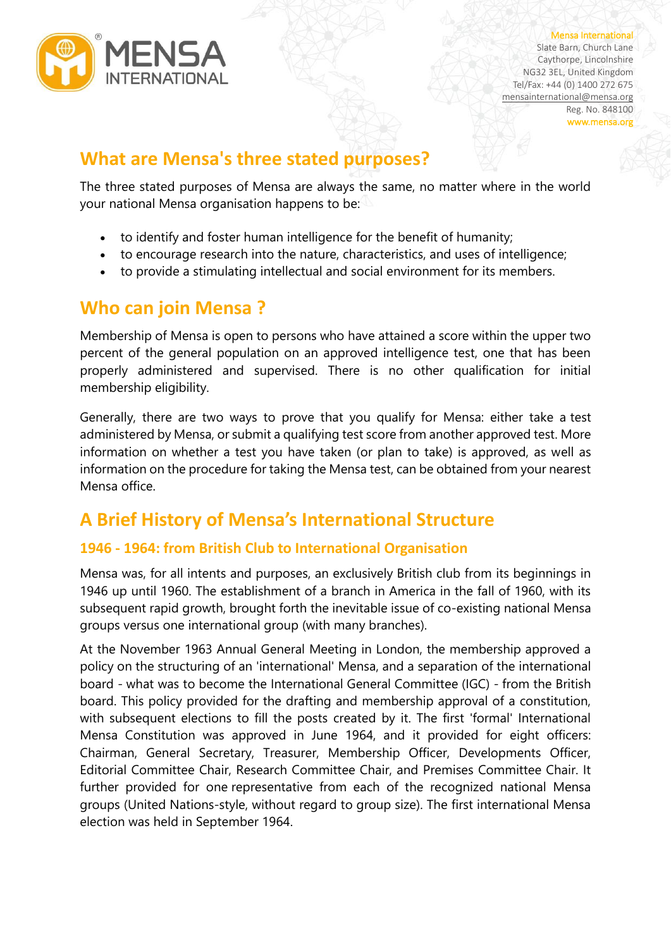

Mensa International Slate Barn, Church Lane Caythorpe, Lincolnshire NG32 3EL, United Kingdom Tel/Fax: +44 (0) 1400 272 675

[mensainternational@mensa.org](about:blank) Reg. No. 848100 www.mensa.org

## **What are Mensa's three stated purposes?**

The three stated purposes of Mensa are always the same, no matter where in the world your national Mensa organisation happens to be:

- to identify and foster human intelligence for the benefit of humanity;
- to encourage research into the nature, characteristics, and uses of intelligence;
- to provide a stimulating intellectual and social environment for its members.

# **Who can join Mensa ?**

Membership of Mensa is open to persons who have attained a score within the upper two percent of the general population on an approved intelligence test, one that has been properly administered and supervised. There is no other qualification for initial membership eligibility.

Generally, there are two ways to prove that you qualify for Mensa: either take a test administered by Mensa, or submit a qualifying test score from another approved test. More information on whether a test you have taken (or plan to take) is approved, as well as information on the procedure for taking the Mensa test, can be obtained from your nearest Mensa office.

# **A Brief History of Mensa's International Structure**

### **1946 - 1964: from British Club to International Organisation**

Mensa was, for all intents and purposes, an exclusively British club from its beginnings in 1946 up until 1960. The establishment of a branch in America in the fall of 1960, with its subsequent rapid growth, brought forth the inevitable issue of co-existing national Mensa groups versus one international group (with many branches).

At the November 1963 Annual General Meeting in London, the membership approved a policy on the structuring of an 'international' Mensa, and a separation of the international board - what was to become the International General Committee (IGC) - from the British board. This policy provided for the drafting and membership approval of a constitution, with subsequent elections to fill the posts created by it. The first 'formal' International Mensa Constitution was approved in June 1964, and it provided for eight officers: Chairman, General Secretary, Treasurer, Membership Officer, Developments Officer, Editorial Committee Chair, Research Committee Chair, and Premises Committee Chair. It further provided for one representative from each of the recognized national Mensa groups (United Nations-style, without regard to group size). The first international Mensa election was held in September 1964.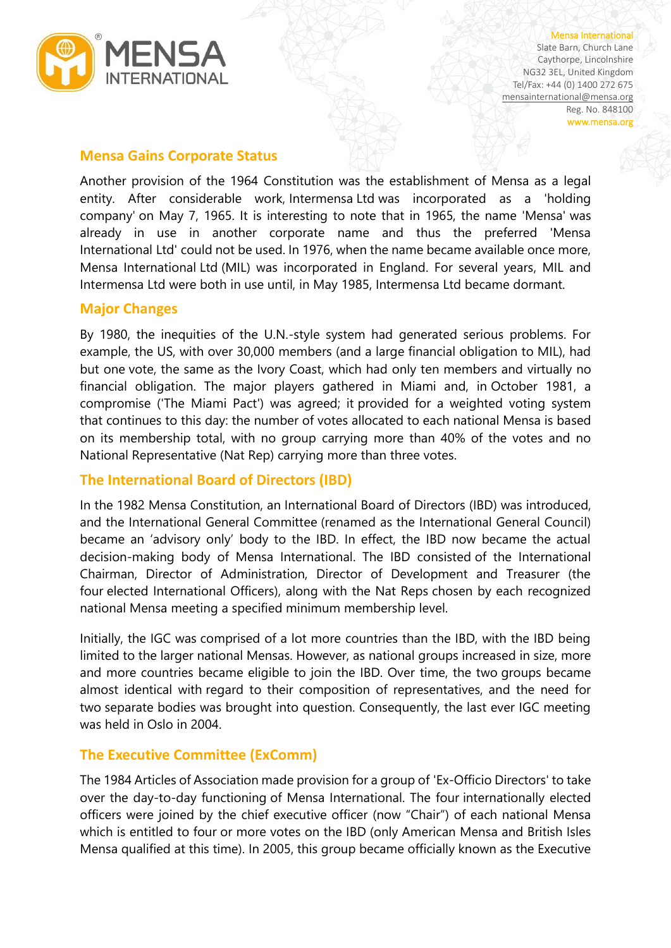

Mensa International Slate Barn, Church Lane Caythorpe, Lincolnshire NG32 3EL, United Kingdom Tel/Fax: +44 (0) 1400 272 675 [mensainternational@mensa.org](about:blank) Reg. No. 848100 www.mensa.org

#### **Mensa Gains Corporate Status**

Another provision of the 1964 Constitution was the establishment of Mensa as a legal entity. After considerable work, Intermensa Ltd was incorporated as a 'holding company' on May 7, 1965. It is interesting to note that in 1965, the name 'Mensa' was already in use in another corporate name and thus the preferred 'Mensa International Ltd' could not be used. In 1976, when the name became available once more, Mensa International Ltd (MIL) was incorporated in England. For several years, MIL and Intermensa Ltd were both in use until, in May 1985, Intermensa Ltd became dormant.

#### **Major Changes**

By 1980, the inequities of the U.N.-style system had generated serious problems. For example, the US, with over 30,000 members (and a large financial obligation to MIL), had but one vote, the same as the Ivory Coast, which had only ten members and virtually no financial obligation. The major players gathered in Miami and, in October 1981, a compromise ('The Miami Pact') was agreed; it provided for a weighted voting system that continues to this day: the number of votes allocated to each national Mensa is based on its membership total, with no group carrying more than 40% of the votes and no National Representative (Nat Rep) carrying more than three votes.

### **The International Board of Directors (IBD)**

In the 1982 Mensa Constitution, an International Board of Directors (IBD) was introduced, and the International General Committee (renamed as the International General Council) became an 'advisory only' body to the IBD. In effect, the IBD now became the actual decision-making body of Mensa International. The IBD consisted of the International Chairman, Director of Administration, Director of Development and Treasurer (the four elected International Officers), along with the Nat Reps chosen by each recognized national Mensa meeting a specified minimum membership level.

Initially, the IGC was comprised of a lot more countries than the IBD, with the IBD being limited to the larger national Mensas. However, as national groups increased in size, more and more countries became eligible to join the IBD. Over time, the two groups became almost identical with regard to their composition of representatives, and the need for two separate bodies was brought into question. Consequently, the last ever IGC meeting was held in Oslo in 2004.

### **The Executive Committee (ExComm)**

The 1984 Articles of Association made provision for a group of 'Ex-Officio Directors' to take over the day-to-day functioning of Mensa International. The four internationally elected officers were joined by the chief executive officer (now "Chair") of each national Mensa which is entitled to four or more votes on the IBD (only American Mensa and British Isles Mensa qualified at this time). In 2005, this group became officially known as the Executive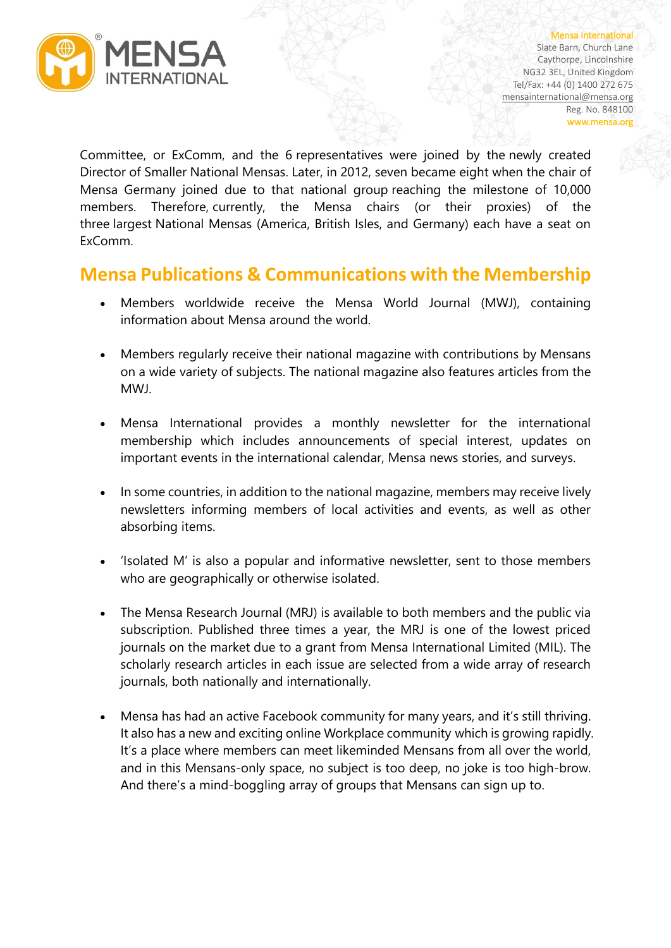

Mensa International Slate Barn, Church Lane Caythorpe, Lincolnshire NG32 3EL, United Kingdom Tel/Fax: +44 (0) 1400 272 675 [mensainternational@mensa.org](about:blank) Reg. No. 848100 www.mensa.org

Committee, or ExComm, and the 6 representatives were joined by the newly created Director of Smaller National Mensas. Later, in 2012, seven became eight when the chair of Mensa Germany joined due to that national group reaching the milestone of 10,000 members. Therefore, currently, the Mensa chairs (or their proxies) of the three largest National Mensas (America, British Isles, and Germany) each have a seat on ExComm.

### **Mensa Publications & Communications with the Membership**

- Members worldwide receive the Mensa World Journal (MWJ), containing information about Mensa around the world.
- Members regularly receive their national magazine with contributions by Mensans on a wide variety of subjects. The national magazine also features articles from the MWJ.
- Mensa International provides a monthly newsletter for the international membership which includes announcements of special interest, updates on important events in the international calendar, Mensa news stories, and surveys.
- In some countries, in addition to the national magazine, members may receive lively newsletters informing members of local activities and events, as well as other absorbing items.
- 'Isolated M' is also a popular and informative newsletter, sent to those members who are geographically or otherwise isolated.
- The Mensa Research Journal (MRJ) is available to both members and the public via subscription. Published three times a year, the MRJ is one of the lowest priced journals on the market due to a grant from Mensa International Limited (MIL). The scholarly research articles in each issue are selected from a wide array of research journals, both nationally and internationally.
- Mensa has had an active Facebook community for many years, and it's still thriving. It also has a new and exciting online Workplace community which is growing rapidly. It's a place where members can meet likeminded Mensans from all over the world, and in this Mensans-only space, no subject is too deep, no joke is too high-brow. And there's a mind-boggling array of groups that Mensans can sign up to.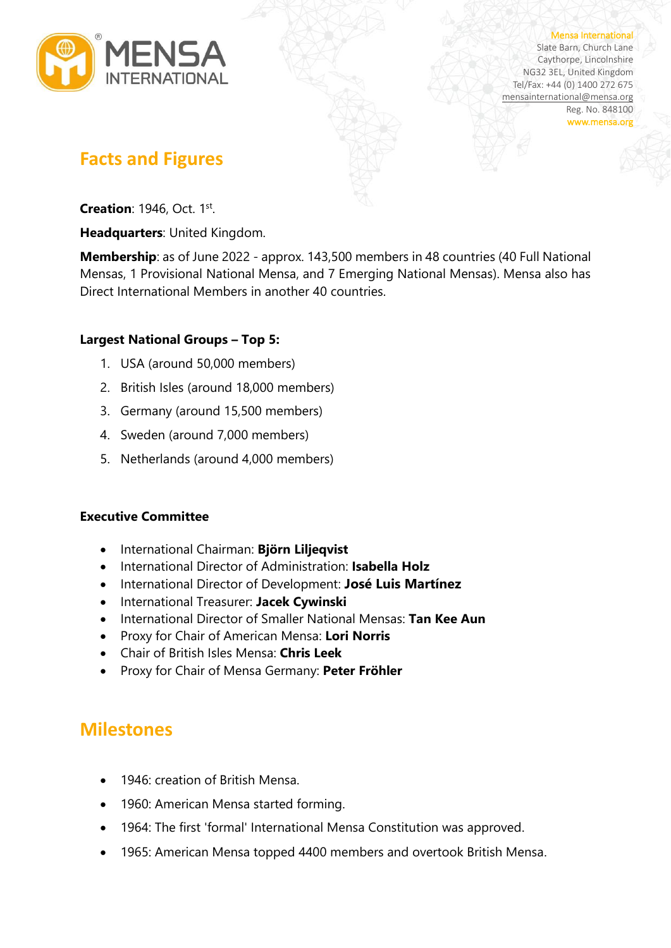

#### Mensa International

Slate Barn, Church Lane Caythorpe, Lincolnshire NG32 3EL, United Kingdom Tel/Fax: +44 (0) 1400 272 675 [mensainternational@mensa.org](about:blank) Reg. No. 848100 www.mensa.org

### **Facts and Figures**

**Creation**: 1946, Oct. 1st.

**Headquarters**: United Kingdom.

**Membership**: as of June 2022 - approx. 143,500 members in 48 countries (40 Full National Mensas, 1 Provisional National Mensa, and 7 Emerging National Mensas). Mensa also has Direct International Members in another 40 countries.

### **Largest National Groups – Top 5:**

- 1. USA (around 50,000 members)
- 2. British Isles (around 18,000 members)
- 3. Germany (around 15,500 members)
- 4. Sweden (around 7,000 members)
- 5. Netherlands (around 4,000 members)

#### **Executive Committee**

- International Chairman: **Björn Liljeqvist**
- International Director of Administration: **Isabella Holz**
- International Director of Development: **José Luis Martínez**
- International Treasurer: **Jacek Cywinski**
- International Director of Smaller National Mensas: **Tan Kee Aun**
- Proxy for Chair of American Mensa: **Lori Norris**
- Chair of British Isles Mensa: **Chris Leek**
- Proxy for Chair of Mensa Germany: **Peter Fröhler**

### **Milestones**

- 1946: creation of British Mensa.
- 1960: American Mensa started forming.
- 1964: The first 'formal' International Mensa Constitution was approved.
- 1965: American Mensa topped 4400 members and overtook British Mensa.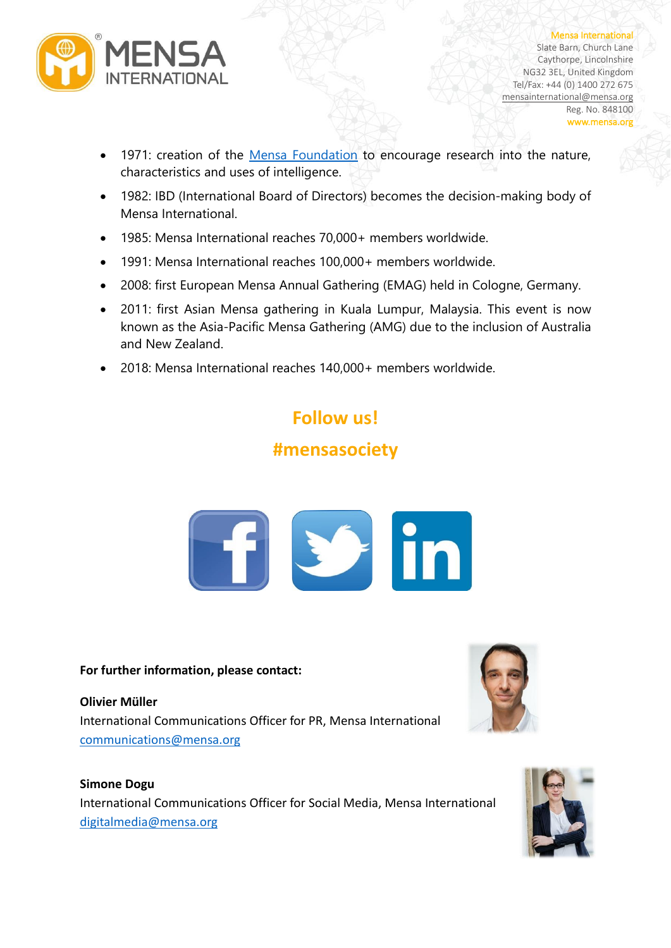

Mensa International Slate Barn, Church Lane Caythorpe, Lincolnshire NG32 3EL, United Kingdom Tel/Fax: +44 (0) 1400 272 675 [mensainternational@mensa.org](about:blank) Reg. No. 848100 www.mensa.org

- 1971: creation of the [Mensa Foundation](about:blank) to encourage research into the nature, characteristics and uses of intelligence.
- 1982: IBD (International Board of Directors) becomes the decision-making body of Mensa International.
- 1985: Mensa International reaches 70,000+ members worldwide.
- 1991: Mensa International reaches 100,000+ members worldwide.
- 2008: first European Mensa Annual Gathering (EMAG) held in Cologne, Germany.
- 2011: first Asian Mensa gathering in Kuala Lumpur, Malaysia. This event is now known as the Asia-Pacific Mensa Gathering (AMG) due to the inclusion of Australia and New Zealand.
- 2018: Mensa International reaches 140,000+ members worldwide.

# **Follow us! #mensasociety**



#### **For further information, please contact:**

**Olivier Müller** International Communications Officer for PR, Mensa International [communications@mensa.org](about:blank)

#### **Simone Dogu**

International Communications Officer for Social Media, Mensa International [digitalmedia@mensa.org](about:blank)